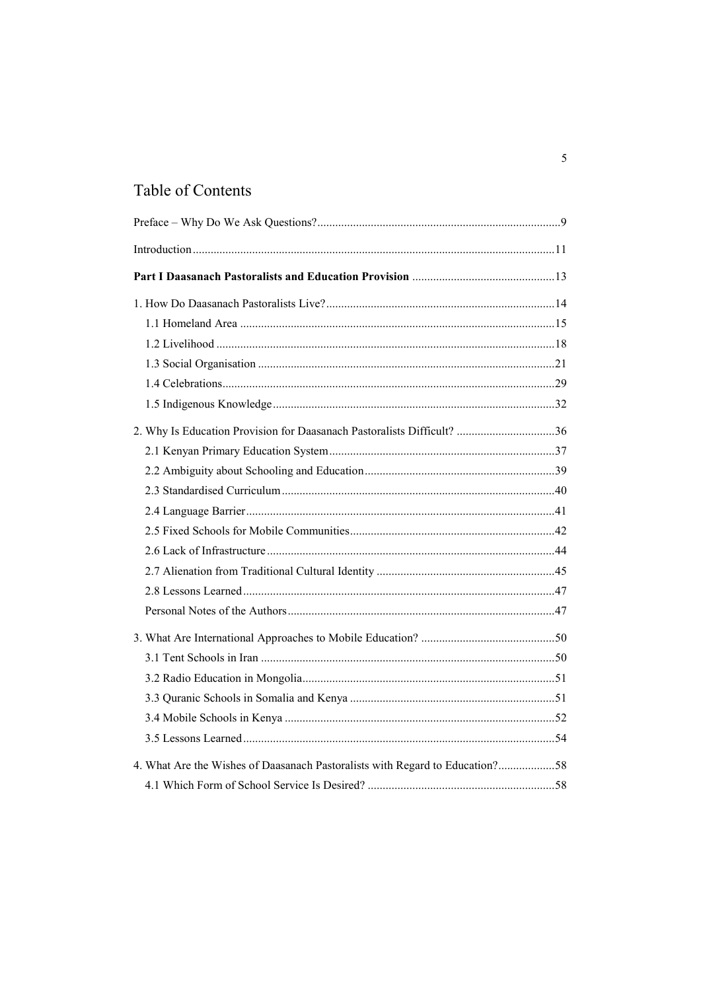## Table of Contents

| 2. Why Is Education Provision for Daasanach Pastoralists Difficult? 36       |  |
|------------------------------------------------------------------------------|--|
|                                                                              |  |
|                                                                              |  |
|                                                                              |  |
|                                                                              |  |
|                                                                              |  |
|                                                                              |  |
|                                                                              |  |
|                                                                              |  |
|                                                                              |  |
|                                                                              |  |
|                                                                              |  |
|                                                                              |  |
|                                                                              |  |
|                                                                              |  |
|                                                                              |  |
| 4. What Are the Wishes of Daasanach Pastoralists with Regard to Education?58 |  |
|                                                                              |  |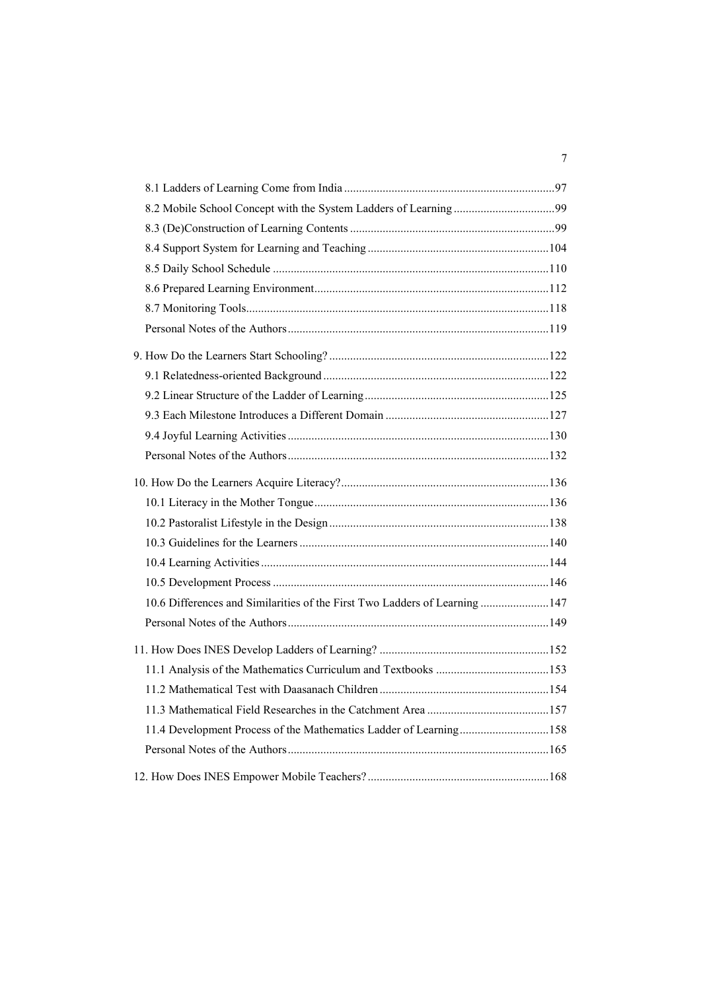| 10.6 Differences and Similarities of the First Two Ladders of Learning  147 |  |
|-----------------------------------------------------------------------------|--|
|                                                                             |  |
|                                                                             |  |
|                                                                             |  |
|                                                                             |  |
|                                                                             |  |
| 11.4 Development Process of the Mathematics Ladder of Learning158           |  |
|                                                                             |  |
|                                                                             |  |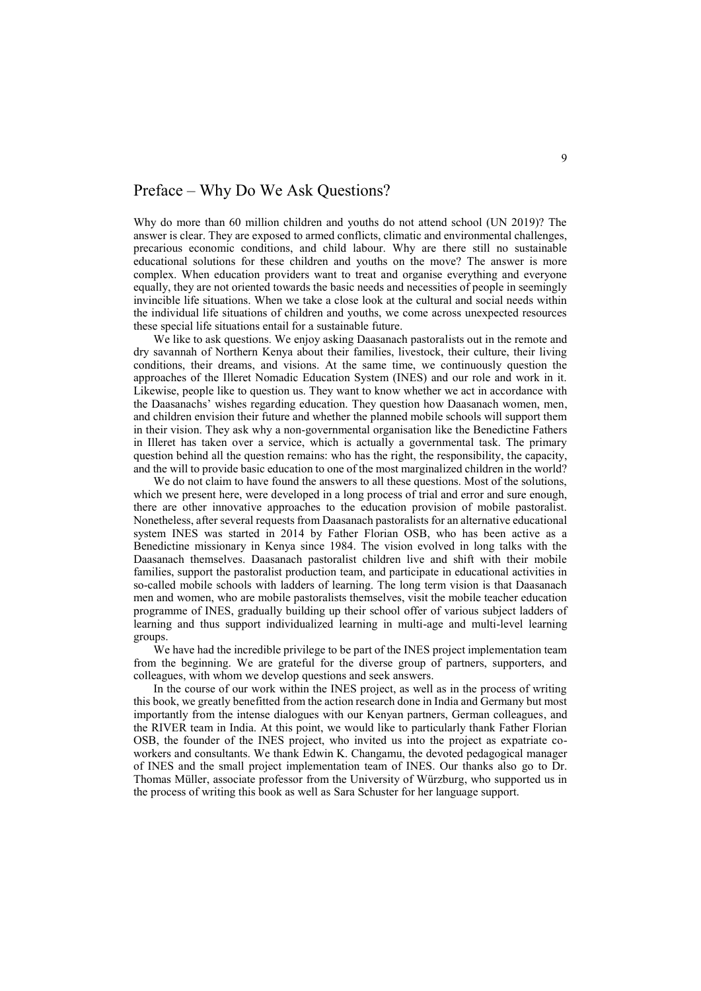## <span id="page-4-0"></span>Preface – Why Do We Ask Questions?

Why do more than 60 million children and youths do not attend school (UN 2019)? The answer is clear. They are exposed to armed conflicts, climatic and environmental challenges, precarious economic conditions, and child labour. Why are there still no sustainable educational solutions for these children and youths on the move? The answer is more complex. When education providers want to treat and organise everything and everyone equally, they are not oriented towards the basic needs and necessities of people in seemingly invincible life situations. When we take a close look at the cultural and social needs within the individual life situations of children and youths, we come across unexpected resources these special life situations entail for a sustainable future.

We like to ask questions. We enjoy asking Daasanach pastoralists out in the remote and dry savannah of Northern Kenya about their families, livestock, their culture, their living conditions, their dreams, and visions. At the same time, we continuously question the approaches of the Illeret Nomadic Education System (INES) and our role and work in it. Likewise, people like to question us. They want to know whether we act in accordance with the Daasanachs' wishes regarding education. They question how Daasanach women, men, and children envision their future and whether the planned mobile schools will support them in their vision. They ask why a non-governmental organisation like the Benedictine Fathers in Illeret has taken over a service, which is actually a governmental task. The primary question behind all the question remains: who has the right, the responsibility, the capacity, and the will to provide basic education to one of the most marginalized children in the world?

We do not claim to have found the answers to all these questions. Most of the solutions, which we present here, were developed in a long process of trial and error and sure enough, there are other innovative approaches to the education provision of mobile pastoralist. Nonetheless, after several requests from Daasanach pastoralists for an alternative educational system INES was started in 2014 by Father Florian OSB, who has been active as a Benedictine missionary in Kenya since 1984. The vision evolved in long talks with the Daasanach themselves. Daasanach pastoralist children live and shift with their mobile families, support the pastoralist production team, and participate in educational activities in so-called mobile schools with ladders of learning. The long term vision is that Daasanach men and women, who are mobile pastoralists themselves, visit the mobile teacher education programme of INES, gradually building up their school offer of various subject ladders of learning and thus support individualized learning in multi-age and multi-level learning groups.

We have had the incredible privilege to be part of the INES project implementation team from the beginning. We are grateful for the diverse group of partners, supporters, and colleagues, with whom we develop questions and seek answers.

In the course of our work within the INES project, as well as in the process of writing this book, we greatly benefitted from the action research done in India and Germany but most importantly from the intense dialogues with our Kenyan partners, German colleagues, and the RIVER team in India. At this point, we would like to particularly thank Father Florian OSB, the founder of the INES project, who invited us into the project as expatriate coworkers and consultants. We thank Edwin K. Changamu, the devoted pedagogical manager of INES and the small project implementation team of INES. Our thanks also go to Dr. Thomas Müller, associate professor from the University of Würzburg, who supported us in the process of writing this book as well as Sara Schuster for her language support.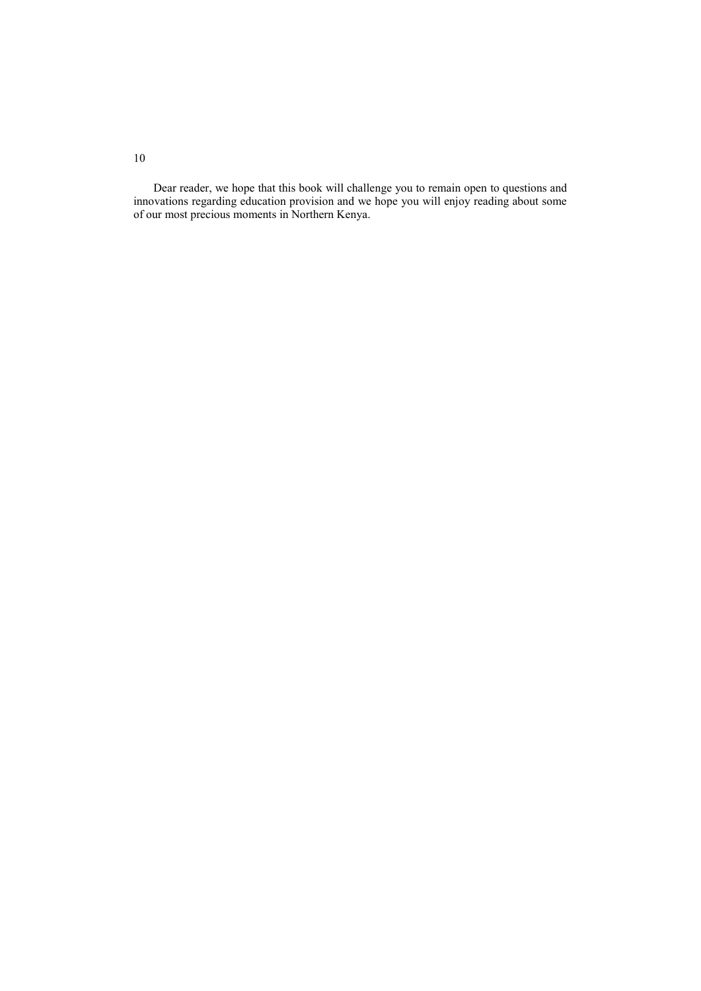Dear reader, we hope that this book will challenge you to remain open to questions and innovations regarding education provision and we hope you will enjoy reading about some of our most precious moments in Northern Kenya.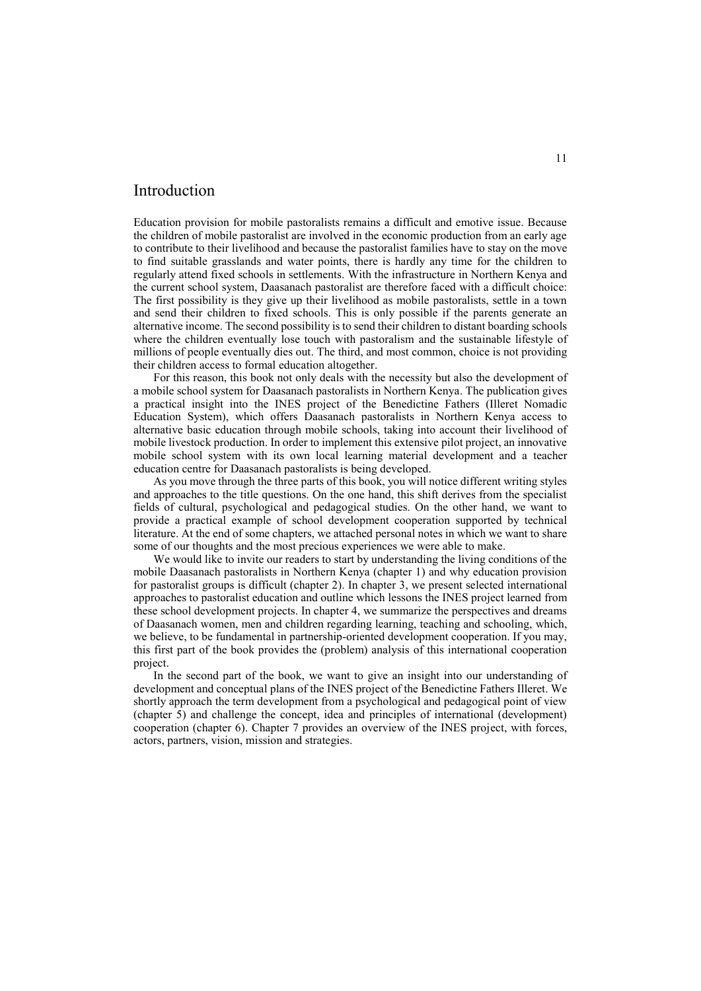## <span id="page-6-0"></span>Introduction

Education provision for mobile pastoralists remains a difficult and emotive issue. Because the children of mobile pastoralist are involved in the economic production from an early age to contribute to their livelihood and because the pastoralist families have to stay on the move to find suitable grasslands and water points, there is hardly any time for the children to regularly attend fixed schools in settlements. With the infrastructure in Northern Kenya and the current school system, Daasanach pastoralist are therefore faced with a difficult choice: The first possibility is they give up their livelihood as mobile pastoralists, settle in a town and send their children to fixed schools. This is only possible if the parents generate an alternative income. The second possibility is to send their children to distant boarding schools where the children eventually lose touch with pastoralism and the sustainable lifestyle of millions of people eventually dies out. The third, and most common, choice is not providing their children access to formal education altogether.

For this reason, this book not only deals with the necessity but also the development of a mobile school system for Daasanach pastoralists in Northern Kenya. The publication gives a practical insight into the INES project of the Benedictine Fathers (Illeret Nomadic Education System), which offers Daasanach pastoralists in Northern Kenya access to alternative basic education through mobile schools, taking into account their livelihood of mobile livestock production. In order to implement this extensive pilot project, an innovative mobile school system with its own local learning material development and a teacher education centre for Daasanach pastoralists is being developed.

As you move through the three parts of this book, you will notice different writing styles and approaches to the title questions. On the one hand, this shift derives from the specialist fields of cultural, psychological and pedagogical studies. On the other hand, we want to provide a practical example of school development cooperation supported by technical literature. At the end of some chapters, we attached personal notes in which we want to share some of our thoughts and the most precious experiences we were able to make.

We would like to invite our readers to start by understanding the living conditions of the mobile Daasanach pastoralists in Northern Kenya (chapter 1) and why education provision for pastoralist groups is difficult (chapter 2). In chapter 3, we present selected international approaches to pastoralist education and outline which lessons the INES project learned from these school development projects. In chapter 4, we summarize the perspectives and dreams of Daasanach women, men and children regarding learning, teaching and schooling, which, we believe, to be fundamental in partnership-oriented development cooperation. If you may, this first part of the book provides the (problem) analysis of this international cooperation project.

In the second part of the book, we want to give an insight into our understanding of development and conceptual plans of the INES project of the Benedictine Fathers Illeret. We shortly approach the term development from a psychological and pedagogical point of view (chapter 5) and challenge the concept, idea and principles of international (development) cooperation (chapter 6). Chapter 7 provides an overview of the INES project, with forces, actors, partners, vision, mission and strategies.